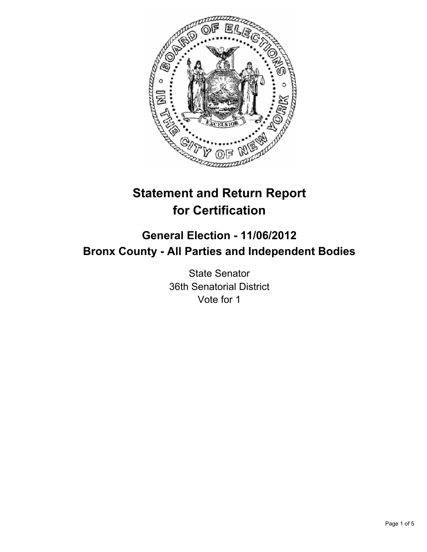

# **Statement and Return Report for Certification**

## **General Election - 11/06/2012 Bronx County - All Parties and Independent Bodies**

State Senator 36th Senatorial District Vote for 1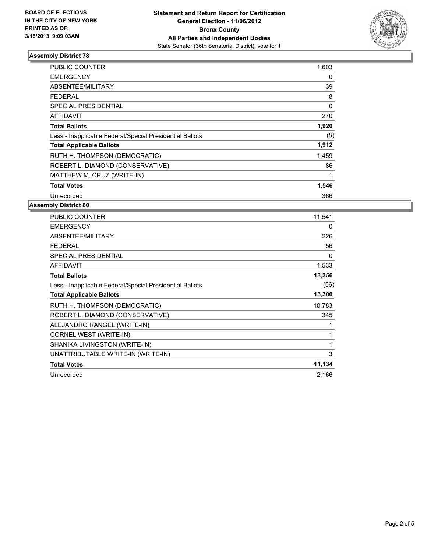

### **Assembly District 78**

| <b>PUBLIC COUNTER</b>                                    | 1,603 |
|----------------------------------------------------------|-------|
| <b>EMERGENCY</b>                                         | 0     |
| ABSENTEE/MILITARY                                        | 39    |
| FEDERAL                                                  | 8     |
| SPECIAL PRESIDENTIAL                                     | 0     |
| <b>AFFIDAVIT</b>                                         | 270   |
| <b>Total Ballots</b>                                     | 1,920 |
| Less - Inapplicable Federal/Special Presidential Ballots | (8)   |
| <b>Total Applicable Ballots</b>                          | 1,912 |
| RUTH H. THOMPSON (DEMOCRATIC)                            | 1,459 |
| ROBERT L. DIAMOND (CONSERVATIVE)                         | 86    |
| MATTHEW M. CRUZ (WRITE-IN)                               |       |
| <b>Total Votes</b>                                       | 1,546 |
| Unrecorded                                               | 366   |

#### **Assembly District 80**

| <b>PUBLIC COUNTER</b>                                    | 11,541 |
|----------------------------------------------------------|--------|
| <b>EMERGENCY</b>                                         | 0      |
| ABSENTEE/MILITARY                                        | 226    |
| FEDERAL                                                  | 56     |
| <b>SPECIAL PRESIDENTIAL</b>                              | 0      |
| <b>AFFIDAVIT</b>                                         | 1,533  |
| <b>Total Ballots</b>                                     | 13,356 |
| Less - Inapplicable Federal/Special Presidential Ballots | (56)   |
| <b>Total Applicable Ballots</b>                          | 13,300 |
| RUTH H. THOMPSON (DEMOCRATIC)                            | 10,783 |
| ROBERT L. DIAMOND (CONSERVATIVE)                         | 345    |
| ALEJANDRO RANGEL (WRITE-IN)                              | 1      |
| CORNEL WEST (WRITE-IN)                                   | 1      |
| SHANIKA LIVINGSTON (WRITE-IN)                            | 1      |
| UNATTRIBUTABLE WRITE-IN (WRITE-IN)                       | 3      |
| <b>Total Votes</b>                                       | 11,134 |
| Unrecorded                                               | 2,166  |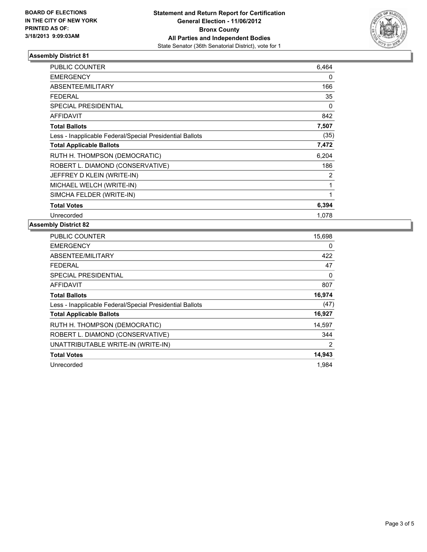

### **Assembly District 81**

| <b>PUBLIC COUNTER</b>                                    | 6,464 |
|----------------------------------------------------------|-------|
| <b>EMERGENCY</b>                                         | 0     |
| <b>ABSENTEE/MILITARY</b>                                 | 166   |
| <b>FEDERAL</b>                                           | 35    |
| <b>SPECIAL PRESIDENTIAL</b>                              | 0     |
| <b>AFFIDAVIT</b>                                         | 842   |
| <b>Total Ballots</b>                                     | 7,507 |
| Less - Inapplicable Federal/Special Presidential Ballots | (35)  |
| <b>Total Applicable Ballots</b>                          | 7,472 |
| RUTH H. THOMPSON (DEMOCRATIC)                            | 6,204 |
| ROBERT L. DIAMOND (CONSERVATIVE)                         | 186   |
| JEFFREY D KLEIN (WRITE-IN)                               | 2     |
| MICHAEL WELCH (WRITE-IN)                                 | 1     |
| SIMCHA FELDER (WRITE-IN)                                 | 1     |
| <b>Total Votes</b>                                       | 6,394 |
| Unrecorded                                               | 1.078 |

#### **Assembly District 82**

| <b>PUBLIC COUNTER</b>                                    | 15,698         |
|----------------------------------------------------------|----------------|
| <b>EMERGENCY</b>                                         | 0              |
| ABSENTEE/MILITARY                                        | 422            |
| FEDERAL                                                  | 47             |
| SPECIAL PRESIDENTIAL                                     | 0              |
| <b>AFFIDAVIT</b>                                         | 807            |
| <b>Total Ballots</b>                                     | 16,974         |
| Less - Inapplicable Federal/Special Presidential Ballots | (47)           |
| <b>Total Applicable Ballots</b>                          | 16,927         |
| RUTH H. THOMPSON (DEMOCRATIC)                            | 14,597         |
| ROBERT L. DIAMOND (CONSERVATIVE)                         | 344            |
| UNATTRIBUTABLE WRITE-IN (WRITE-IN)                       | $\overline{2}$ |
| <b>Total Votes</b>                                       | 14,943         |
| Unrecorded                                               | 1.984          |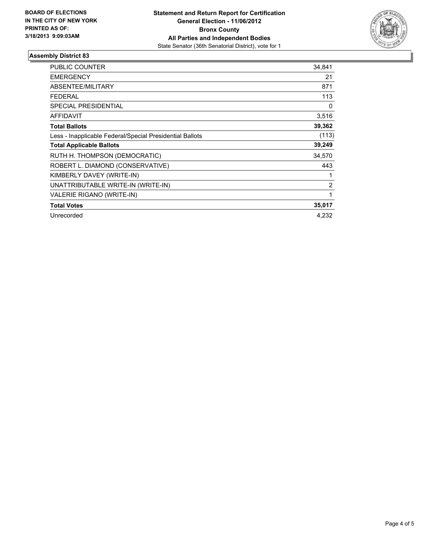

#### **Assembly District 83**

| <b>PUBLIC COUNTER</b>                                    | 34,841 |
|----------------------------------------------------------|--------|
| <b>EMERGENCY</b>                                         | 21     |
| <b>ABSENTEE/MILITARY</b>                                 | 871    |
| <b>FEDERAL</b>                                           | 113    |
| <b>SPECIAL PRESIDENTIAL</b>                              | 0      |
| <b>AFFIDAVIT</b>                                         | 3,516  |
| <b>Total Ballots</b>                                     | 39,362 |
| Less - Inapplicable Federal/Special Presidential Ballots | (113)  |
| <b>Total Applicable Ballots</b>                          | 39,249 |
| RUTH H. THOMPSON (DEMOCRATIC)                            | 34,570 |
| ROBERT L. DIAMOND (CONSERVATIVE)                         | 443    |
| KIMBERLY DAVEY (WRITE-IN)                                |        |
| UNATTRIBUTABLE WRITE-IN (WRITE-IN)                       | 2      |
| <b>VALERIE RIGANO (WRITE-IN)</b>                         | 1      |
| <b>Total Votes</b>                                       | 35,017 |
| Unrecorded                                               | 4.232  |